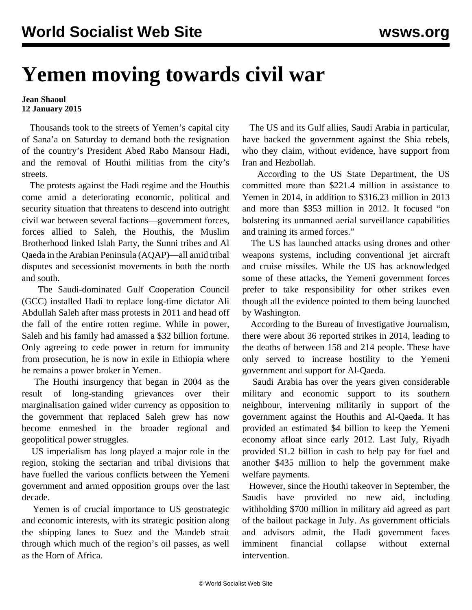## **Yemen moving towards civil war**

## **Jean Shaoul 12 January 2015**

 Thousands took to the streets of Yemen's capital city of Sana'a on Saturday to demand both the resignation of the country's President Abed Rabo Mansour Hadi, and the removal of Houthi militias from the city's streets.

 The protests against the Hadi regime and the Houthis come amid a deteriorating economic, political and security situation that threatens to descend into outright civil war between several factions—government forces, forces allied to Saleh, the Houthis, the Muslim Brotherhood linked Islah Party, the Sunni tribes and Al Qaeda in the Arabian Peninsula (AQAP)—all amid tribal disputes and secessionist movements in both the north and south.

 The Saudi-dominated Gulf Cooperation Council (GCC) installed Hadi to replace long-time dictator Ali Abdullah Saleh after mass protests in 2011 and head off the fall of the entire rotten regime. While in power, Saleh and his family had amassed a \$32 billion fortune. Only agreeing to cede power in return for immunity from prosecution, he is now in exile in Ethiopia where he remains a power broker in Yemen.

 The Houthi insurgency that began in 2004 as the result of long-standing grievances over their marginalisation gained wider currency as opposition to the government that replaced Saleh grew has now become enmeshed in the broader regional and geopolitical power struggles.

 US imperialism has long played a major role in the region, stoking the sectarian and tribal divisions that have fuelled the various conflicts between the Yemeni government and armed opposition groups over the last decade.

 Yemen is of crucial importance to US geostrategic and economic interests, with its strategic position along the shipping lanes to Suez and the Mandeb strait through which much of the region's oil passes, as well as the Horn of Africa.

 The US and its Gulf allies, Saudi Arabia in particular, have backed the government against the Shia rebels, who they claim, without evidence, have support from Iran and Hezbollah.

 According to the US State Department, the US committed more than \$221.4 million in assistance to Yemen in 2014, in addition to \$316.23 million in 2013 and more than \$353 million in 2012. It focused "on bolstering its unmanned aerial surveillance capabilities and training its armed forces."

 The US has launched attacks using drones and other weapons systems, including conventional jet aircraft and cruise missiles. While the US has acknowledged some of these attacks, the Yemeni government forces prefer to take responsibility for other strikes even though all the evidence pointed to them being launched by Washington.

 According to the Bureau of Investigative Journalism, there were about 36 reported strikes in 2014, leading to the deaths of between 158 and 214 people. These have only served to increase hostility to the Yemeni government and support for Al-Qaeda.

 Saudi Arabia has over the years given considerable military and economic support to its southern neighbour, intervening militarily in support of the government against the Houthis and Al-Qaeda. It has provided an estimated \$4 billion to keep the Yemeni economy afloat since early 2012. Last July, Riyadh provided \$1.2 billion in cash to help pay for fuel and another \$435 million to help the government make welfare payments.

 However, since the Houthi takeover in September, the Saudis have provided no new aid, including withholding \$700 million in military aid agreed as part of the bailout package in July. As government officials and advisors admit, the Hadi government faces imminent financial collapse without external intervention.